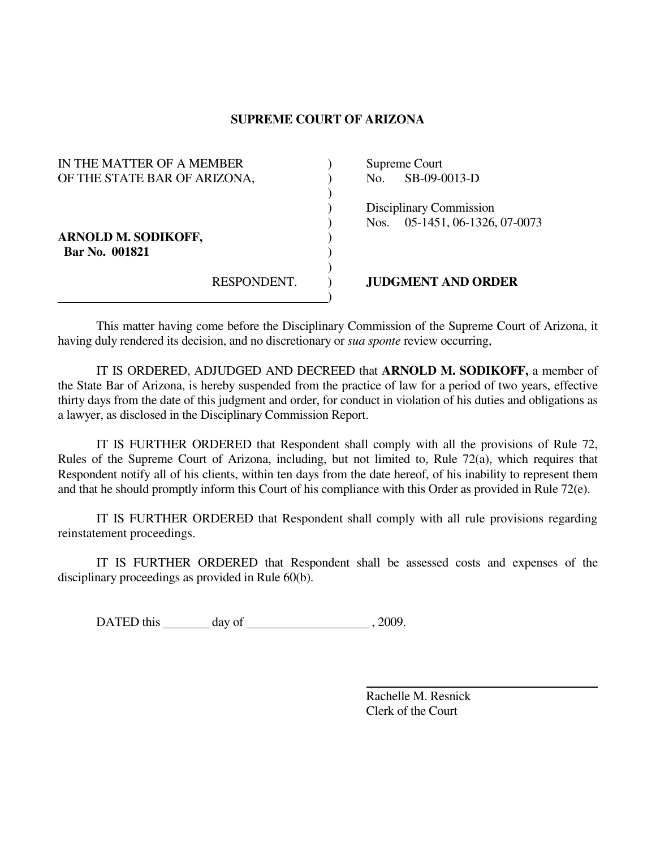## **SUPREME COURT OF ARIZONA**

| IN THE MATTER OF A MEMBER                    |             | Supreme Court |                                                      |
|----------------------------------------------|-------------|---------------|------------------------------------------------------|
| OF THE STATE BAR OF ARIZONA,                 |             | No.           | SB-09-0013-D                                         |
| <b>ARNOLD M. SODIKOFF,</b><br>Bar No. 001821 |             | Nos.          | Disciplinary Commission<br>05-1451, 06-1326, 07-0073 |
|                                              | RESPONDENT. |               | <b>JUDGMENT AND ORDER</b>                            |

 This matter having come before the Disciplinary Commission of the Supreme Court of Arizona, it having duly rendered its decision, and no discretionary or *sua sponte* review occurring,

 IT IS ORDERED, ADJUDGED AND DECREED that **ARNOLD M. SODIKOFF,** a member of the State Bar of Arizona, is hereby suspended from the practice of law for a period of two years, effective thirty days from the date of this judgment and order, for conduct in violation of his duties and obligations as a lawyer, as disclosed in the Disciplinary Commission Report.

 IT IS FURTHER ORDERED that Respondent shall comply with all the provisions of Rule 72, Rules of the Supreme Court of Arizona, including, but not limited to, Rule 72(a), which requires that Respondent notify all of his clients, within ten days from the date hereof, of his inability to represent them and that he should promptly inform this Court of his compliance with this Order as provided in Rule 72(e).

 IT IS FURTHER ORDERED that Respondent shall comply with all rule provisions regarding reinstatement proceedings.

 IT IS FURTHER ORDERED that Respondent shall be assessed costs and expenses of the disciplinary proceedings as provided in Rule 60(b).

DATED this day of  $\qquad \qquad$  , 2009.

 Rachelle M. Resnick Clerk of the Court